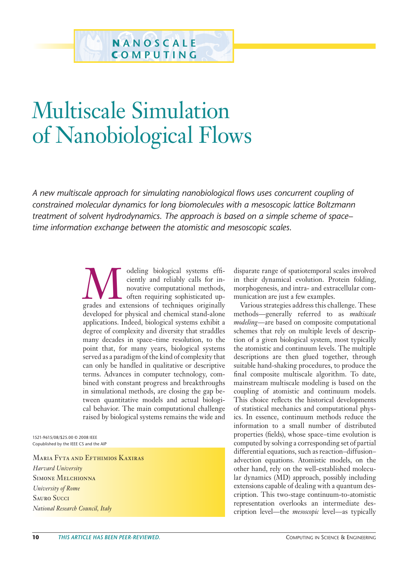# Multiscale Simulation of Nanobiological Flows

**N a n o s c a l e C o m p u t i n g**

*A new multiscale approach for simulating nanobiological flows uses concurrent coupling of constrained molecular dynamics for long biomolecules with a mesoscopic lattice Boltzmann treatment of solvent hydrodynamics. The approach is based on a simple scheme of space– time information exchange between the atomistic and mesoscopic scales.* 

> Modeling biological systems efficiently and reliably calls for innovative computational methods, often requiring sophisticated upgrades and extensions of techniques originally ciently and reliably calls for innovative computational methods, often requiring sophisticated updeveloped for physical and chemical stand-alone applications. Indeed, biological systems exhibit a degree of complexity and diversity that straddles many decades in space–time resolution, to the point that, for many years, biological systems served as a paradigm of the kind of complexity that can only be handled in qualitative or descriptive terms. Advances in computer technology, combined with constant progress and breakthroughs in simulational methods, are closing the gap between quantitative models and actual biological behavior. The main computational challenge raised by biological systems remains the wide and

1521-9615/08/\$25.00 © 2008 IEEE Copublished by the IEEE CS and the AIP

Maria Fyta and Efthimios Kaxiras *Harvard University* SIMONE MELCHIONNA *University of Rome* **SAURO SUCCI** *National Research Council, Italy*

disparate range of spatiotemporal scales involved in their dynamical evolution. Protein folding, morphogenesis, and intra- and extracellular communication are just a few examples.

Various strategies address this challenge. These methods—generally referred to as *multiscale modeling*—are based on composite computational schemes that rely on multiple levels of description of a given biological system, most typically the atomistic and continuum levels. The multiple descriptions are then glued together, through suitable hand-shaking procedures, to produce the final composite multiscale algorithm. To date, mainstream multiscale modeling is based on the coupling of atomistic and continuum models. This choice reflects the historical developments of statistical mechanics and computational physics. In essence, continuum methods reduce the information to a small number of distributed properties (fields), whose space–time evolution is computed by solving a corresponding set of partial differential equations, such as reaction–diffusion– advection equations. Atomistic models, on the other hand, rely on the well-established molecular dynamics (MD) approach, possibly including extensions capable of dealing with a quantum description. This two-stage continuum-to-atomistic representation overlooks an intermediate description level—the *mesoscopic* level—as typically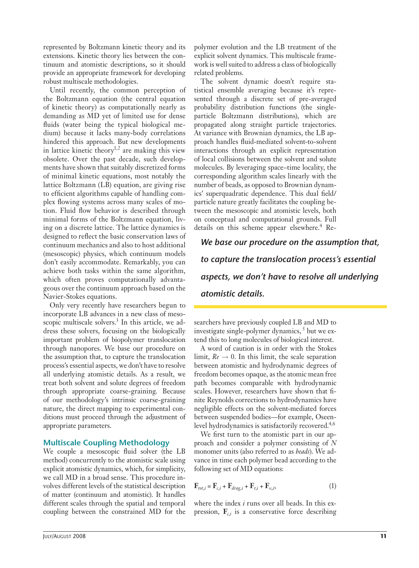represented by Boltzmann kinetic theory and its extensions. Kinetic theory lies between the continuum and atomistic descriptions, so it should provide an appropriate framework for developing robust multiscale methodologies.

Until recently, the common perception of the Boltzmann equation (the central equation of kinetic theory) as computationally nearly as demanding as MD yet of limited use for dense fluids (water being the typical biological medium) because it lacks many-body correlations hindered this approach. But new developments in lattice kinetic theory<sup>1,2</sup> are making this view obsolete. Over the past decade, such developments have shown that suitably discretized forms of minimal kinetic equations, most notably the lattice Boltzmann (LB) equation, are giving rise to efficient algorithms capable of handling complex flowing systems across many scales of motion. Fluid flow behavior is described through minimal forms of the Boltzmann equation, living on a discrete lattice. The lattice dynamics is designed to reflect the basic conservation laws of continuum mechanics and also to host additional (mesoscopic) physics, which continuum models don't easily accommodate. Remarkably, you can achieve both tasks within the same algorithm, which often proves computationally advantageous over the continuum approach based on the Navier-Stokes equations.

Only very recently have researchers begun to incorporate LB advances in a new class of mesoscopic multiscale solvers.<sup>3</sup> In this article, we address these solvers, focusing on the biologically important problem of biopolymer translocation through nanopores. We base our procedure on the assumption that, to capture the translocation process's essential aspects, we don't have to resolve all underlying atomistic details. As a result, we treat both solvent and solute degrees of freedom through appropriate coarse-graining. Because of our methodology's intrinsic coarse-graining nature, the direct mapping to experimental conditions must proceed through the adjustment of appropriate parameters.

## **Multiscale Coupling Methodology**

We couple a mesoscopic fluid solver (the LB method) concurrently to the atomistic scale using explicit atomistic dynamics, which, for simplicity, we call MD in a broad sense. This procedure involves different levels of the statistical description of matter (continuum and atomistic). It handles different scales through the spatial and temporal coupling between the constrained MD for the

polymer evolution and the LB treatment of the explicit solvent dynamics. This multiscale framework is well suited to address a class of biologically related problems.

The solvent dynamic doesn't require statistical ensemble averaging because it's represented through a discrete set of pre-averaged probability distribution functions (the singleparticle Boltzmann distributions), which are propagated along straight particle trajectories. At variance with Brownian dynamics, the LB approach handles fluid-mediated solvent-to-solvent interactions through an explicit representation of local collisions between the solvent and solute molecules. By leveraging space–time locality, the corresponding algorithm scales linearly with the number of beads, as opposed to Brownian dynamics' superquadratic dependence. This dual field/ particle nature greatly facilitates the coupling between the mesoscopic and atomistic levels, both on conceptual and computational grounds. Full details on this scheme appear elsewhere.<sup>4</sup> Re-

*We base our procedure on the assumption that, to capture the translocation process's essential aspects, we don't have to resolve all underlying atomistic details.*

searchers have previously coupled LB and MD to investigate single-polymer dynamics, but we extend this to long molecules of biological interest.

A word of caution is in order with the Stokes limit,  $Re \rightarrow 0$ . In this limit, the scale separation between atomistic and hydrodynamic degrees of freedom becomes opaque, as the atomic mean free path becomes comparable with hydrodynamic scales. However, researchers have shown that finite Reynolds corrections to hydrodynamics have negligible effects on the solvent-mediated forces between suspended bodies—for example, Oseenlevel hydrodynamics is satisfactorily recovered.<sup>4,6</sup>

We first turn to the atomistic part in our approach and consider a polymer consisting of *N* monomer units (also referred to as *beads*). We advance in time each polymer bead according to the following set of MD equations:

$$
\mathbf{F}_{tot,i} = \mathbf{F}_{c,i} + \mathbf{F}_{drag,i} + \mathbf{F}_{r,i} + \mathbf{F}_{\kappa,i},
$$
\n(1)

where the index *i* runs over all beads. In this expression,  $\mathbf{F}_{c,i}$  is a conservative force describing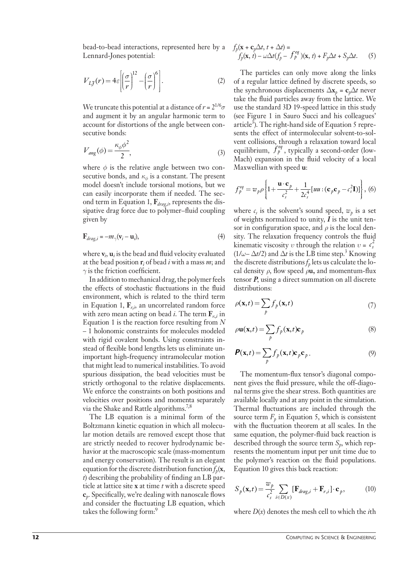bead-to-bead interactions, represented here by a Lennard-Jones potential:

$$
V_{LJ}(r) = 4\varepsilon \left[ \left( \frac{\sigma}{r} \right)^{12} - \left( \frac{\sigma}{r} \right)^{6} \right].
$$
 (2)

We truncate this potential at a distance of  $r = 2^{1/6}\sigma$ and augment it by an angular harmonic term to account for distortions of the angle between consecutive bonds:

$$
V_{ang}(\phi) = \frac{\kappa_{\phi}\phi^2}{2},\tag{3}
$$

where  $\phi$  is the relative angle between two consecutive bonds, and  $\kappa_{\phi}$  is a constant. The present model doesn't include torsional motions, but we can easily incorporate them if needed. The second term in Equation 1, **F***drag*,*i*, represents the dissipative drag force due to polymer–fluid coupling given by

$$
\mathbf{F}_{drag,i} = -m_{\gamma}(\mathbf{v}_i - \mathbf{u}_i),\tag{4}
$$

where  $\mathbf{v}_i$ ,  $\mathbf{u}_i$  is the bead and fluid velocity evaluated at the bead position  $\mathbf{r}_i$  of bead *i* with a mass *m*; and *γ* is the friction coefficient.

In addition to mechanical drag, the polymer feels the effects of stochastic fluctuations in the fluid environment, which is related to the third term in Equation 1,  $\mathbf{F}_{r,i}$ , an uncorrelated random force with zero mean acting on bead *i*. The term **F***κ*,*<sup>i</sup>* in Equation 1 is the reaction force resulting from *N* – 1 holonomic constraints for molecules modeled with rigid covalent bonds. Using constraints instead of flexible bond lengths lets us eliminate unimportant high-frequency intramolecular motion that might lead to numerical instabilities. To avoid spurious dissipation, the bead velocities must be strictly orthogonal to the relative displacements. We enforce the constraints on both positions and velocities over positions and momenta separately via the Shake and Rattle algorithms.<sup>7,8</sup>

The LB equation is a minimal form of the Boltzmann kinetic equation in which all molecular motion details are removed except those that are strictly needed to recover hydrodynamic behavior at the macroscopic scale (mass-momentum and energy conservation). The result is an elegant equation for the discrete distribution function  $f_p(\mathbf{x}, \mathbf{z})$ *t*) describing the probability of finding an LB particle at lattice site **x** at time *t* with a discrete speed **c***p*. Specifically, we're dealing with nanoscale flows and consider the fluctuating LB equation, which takes the following form:<sup>9</sup>

$$
f_p(\mathbf{x} + \mathbf{c}_p \Delta t, t + \Delta t) =
$$
  
\n
$$
f_p(\mathbf{x}, t) - \omega \Delta t (f_p - f_p^{eq})(\mathbf{x}, t) + F_p \Delta t + S_p \Delta t.
$$
 (5)

The particles can only move along the links of a regular lattice defined by discrete speeds, so the synchronous displacements  $\Delta \mathbf{x}_p = \mathbf{c}_p \Delta t$  never take the fluid particles away from the lattice. We use the standard 3D 19-speed lattice in this study (see Figure 1 in Sauro Succi and his colleagues' article<sup>3</sup>). The right-hand side of Equation 5 represents the effect of intermolecular solvent-to-solvent collisions, through a relaxation toward local equilibrium,  $\hat{f}^{eq}_{p}$ , typically a second-order (low-Mach) expansion in the fluid velocity of a local Maxwellian with speed **u**:

$$
f_p^{eq} = w_p \rho \left\{ 1 + \frac{\mathbf{u} \cdot \mathbf{c}_p}{c_s^2} + \frac{1}{2c_s^4} [uu : (\mathbf{c}_p \mathbf{c}_p - c_s^2 \mathbf{I})] \right\}, \tag{6}
$$

where  $c_s$  is the solvent's sound speed,  $w_p$  is a set of weights normalized to unity, *I* is the unit tensor in configuration space, and  $\rho$  is the local density. The relaxation frequency controls the fluid kinematic viscosity *υ* through the relation  $v = c_s^2$  $(1/\omega - \Delta t/2)$  and  $\Delta t$  is the LB time step.<sup>3</sup> Knowing the discrete distributions  $f_p$  lets us calculate the local density  $\rho$ , flow speed  $\rho$ **u**, and momentum-flux tensor *P*, using a direct summation on all discrete distributions:

$$
\rho(\mathbf{x},t) = \sum_{p} f_p(\mathbf{x},t)
$$
\n(7)

$$
\rho \mathbf{u}(\mathbf{x},t) = \sum_{p} f_{p}(\mathbf{x},t) \mathbf{c}_{p}
$$
\n(8)

$$
\boldsymbol{P}(\mathbf{x},t) = \sum_{p} f_p(\mathbf{x},t) \mathbf{c}_p \mathbf{c}_p. \tag{9}
$$

The momentum-flux tensor's diagonal component gives the fluid pressure, while the off-diagonal terms give the shear stress. Both quantities are available locally and at any point in the simulation. Thermal fluctuations are included through the source term  $F_p$  in Equation 5, which is consistent with the fluctuation theorem at all scales. In the same equation, the polymer-fluid back reaction is described through the source term *Sp*, which represents the momentum input per unit time due to the polymer's reaction on the fluid populations. Equation 10 gives this back reaction:

$$
S_p(\mathbf{x},t) = \frac{w_p}{c_s^2} \sum_{i \in D(x)} [\mathbf{F}_{drag,i} + \mathbf{F}_{r,i}] \cdot \mathbf{c}_p, \tag{10}
$$

where  $D(x)$  denotes the mesh cell to which the *i*th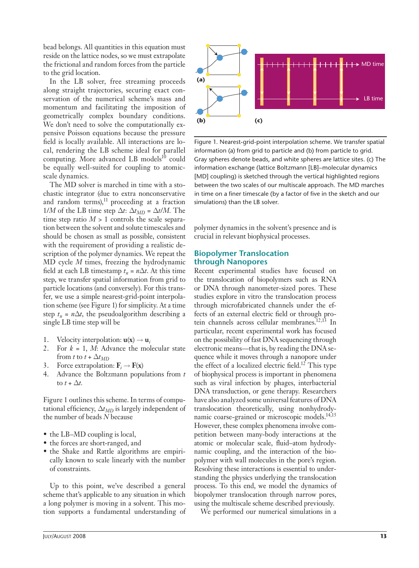bead belongs. All quantities in this equation must reside on the lattice nodes, so we must extrapolate the frictional and random forces from the particle to the grid location.

In the LB solver, free streaming proceeds along straight trajectories, securing exact conservation of the numerical scheme's mass and momentum and facilitating the imposition of geometrically complex boundary conditions. We don't need to solve the computationally expensive Poisson equations because the pressure field is locally available. All interactions are local, rendering the LB scheme ideal for parallel computing. More advanced LB models<sup>10</sup> could be equally well-suited for coupling to atomicscale dynamics.

The MD solver is marched in time with a stochastic integrator (due to extra nonconservative and random terms), $^{11}$  proceeding at a fraction 1/*M* of the LB time step  $\Delta t$ :  $\Delta t_{MD} = \Delta t / M$ . The time step ratio  $M > 1$  controls the scale separation between the solvent and solute timescales and should be chosen as small as possible, consistent with the requirement of providing a realistic description of the polymer dynamics. We repeat the MD cycle *M* times, freezing the hydrodynamic field at each LB timestamp  $t_n = n\Delta t$ . At this time step, we transfer spatial information from grid to particle locations (and conversely). For this transfer, we use a simple nearest-grid-point interpolation scheme (see Figure 1) for simplicity. At a time step  $t_n = n\Delta t$ , the pseudoalgorithm describing a single LB time step will be

- Velocity interpolation:  $\mathbf{u}(\mathbf{x}) \rightarrow \mathbf{u}_i$ 1.
- For *k* = 1, *M*: Advance the molecular state from *t* to  $t + \Delta t_{MD}$ 2.
- Force extrapolation:  $\mathbf{F}_i \rightarrow \mathbf{F}(\mathbf{x})$ 3.
- Advance the Boltzmann populations from *t* to  $t + \Delta t$ . 4.

Figure 1 outlines this scheme. In terms of computational efficiency,  $\Delta t_{MD}$  is largely independent of the number of beads *N* because

- the LB–MD coupling is local,
- the forces are short-ranged, and
- the Shake and Rattle algorithms are empirically known to scale linearly with the number of constraints.

Up to this point, we've described a general scheme that's applicable to any situation in which a long polymer is moving in a solvent. This motion supports a fundamental understanding of



Figure 1. Nearest-grid-point interpolation scheme. We transfer spatial information (a) from grid to particle and (b) from particle to grid. Gray spheres denote beads, and white spheres are lattice sites. (c) The information exchange (lattice Boltzmann [LB]–molecular dynamics [MD] coupling) is sketched through the vertical highlighted regions between the two scales of our multiscale approach. The MD marches in time on a finer timescale (by a factor of five in the sketch and our simulations) than the LB solver.

polymer dynamics in the solvent's presence and is crucial in relevant biophysical processes.

# **Biopolymer Translocation through Nanopores**

Recent experimental studies have focused on the translocation of biopolymers such as RNA or DNA through nanometer-sized pores. These studies explore in vitro the translocation process through microfabricated channels under the effects of an external electric field or through protein channels across cellular membranes.<sup>12,13</sup> In particular, recent experimental work has focused on the possibility of fast DNA sequencing through electronic means—that is, by reading the DNA sequence while it moves through a nanopore under the effect of a localized electric field.<sup>12</sup> This type of biophysical process is important in phenomena such as viral infection by phages, interbacterial DNA transduction, or gene therapy. Researchers have also analyzed some universal features of DNA translocation theoretically, using nonhydrodynamic coarse-grained or microscopic models.<sup>14,15</sup> However, these complex phenomena involve competition between many-body interactions at the atomic or molecular scale, fluid–atom hydrodynamic coupling, and the interaction of the biopolymer with wall molecules in the pore's region. Resolving these interactions is essential to understanding the physics underlying the translocation process. To this end, we model the dynamics of biopolymer translocation through narrow pores, using the multiscale scheme described previously.

We performed our numerical simulations in a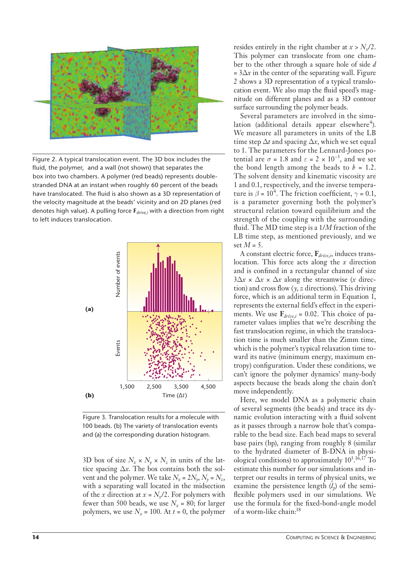

Figure 2. A typical translocation event. The 3D box includes the fluid, the polymer, and a wall (not shown) that separates the box into two chambers. A polymer (red beads) represents doublestranded DNA at an instant when roughly 60 percent of the beads have translocated. The fluid is also shown as a 3D representation of the velocity magnitude at the beads' vicinity and on 2D planes (red denotes high value). A pulling force **F***drive*,*<sup>i</sup>* with a direction from right to left induces translocation.



Figure 3. Translocation results for a molecule with 100 beads. (b) The variety of translocation events and (a) the corresponding duration histogram.

3D box of size  $N_x \times N_y \times N_z$  in units of the lattice spacing ∆*x*. The box contains both the solvent and the polymer. We take  $N_x = 2N_y$ ,  $N_y = N_z$ , with a separating wall located in the midsection of the *x* direction at  $x = N_x/2$ . For polymers with fewer than 500 beads, we use  $N_x$  = 80; for larger polymers, we use  $N_x = 100$ . At  $t = 0$ , the polymer

resides entirely in the right chamber at  $x > N_x/2$ . This polymer can translocate from one chamber to the other through a square hole of side *d*  $= 3\Delta x$  in the center of the separating wall. Figure 2 shows a 3D representation of a typical translocation event. We also map the fluid speed's magnitude on different planes and as a 3D contour surface surrounding the polymer beads.

Several parameters are involved in the simulation (additional details appear elsewhere<sup>4</sup>). We measure all parameters in units of the LB time step ∆*t* and spacing ∆*x*, which we set equal to 1. The parameters for the Lennard-Jones potential are  $\sigma = 1.8$  and  $\varepsilon = 2 \times 10^{-3}$ , and we set the bond length among the beads to  $b = 1.2$ . The solvent density and kinematic viscosity are 1 and 0.1, respectively, and the inverse temperature is  $\beta = 10^4$ . The friction coefficient,  $\gamma = 0.1$ , is a parameter governing both the polymer's structural relation toward equilibrium and the strength of the coupling with the surrounding fluid. The MD time step is a 1/*M* fraction of the LB time step, as mentioned previously, and we set  $M = 5$ .

A constant electric force, **F***drive*,*i*, induces translocation. This force acts along the *x* direction and is confined in a rectangular channel of size  $3\Delta x \times \Delta x \times \Delta x$  along the streamwise (*x* direction) and cross flow ( *y*, *z* directions). This driving force, which is an additional term in Equation 1, represents the external field's effect in the experiments. We use **F***drive*,*<sup>i</sup>* = 0.02. This choice of parameter values implies that we're describing the fast translocation regime, in which the translocation time is much smaller than the Zimm time, which is the polymer's typical relaxation time toward its native (minimum energy, maximum entropy) configuration. Under these conditions, we can't ignore the polymer dynamics' many-body aspects because the beads along the chain don't move independently.

Here, we model DNA as a polymeric chain of several segments (the beads) and trace its dynamic evolution interacting with a fluid solvent as it passes through a narrow hole that's comparable to the bead size. Each bead maps to several base pairs (bp), ranging from roughly 8 (similar to the hydrated diameter of B-DNA in physiological conditions) to approximately  $10^{3}$ .<sup>16,17</sup> To estimate this number for our simulations and interpret our results in terms of physical units, we examine the persistence length  $(l_n)$  of the semiflexible polymers used in our simulations. We use the formula for the fixed-bond-angle model of a worm-like chain:<sup>18</sup>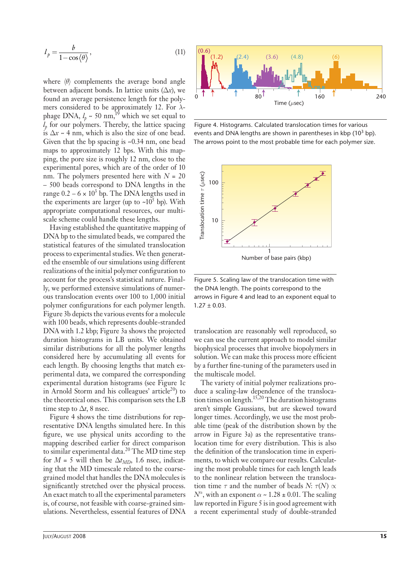$$
l_p = \frac{b}{1 - \cos\langle\theta\rangle},\tag{11}
$$

where  $\langle \theta \rangle$  complements the average bond angle between adjacent bonds. In lattice units (∆*x*), we found an average persistence length for the polymers considered to be approximately 12. For *λ*phage DNA,  $l_p \sim 50$  nm,<sup>19</sup> which we set equal to  $l<sub>p</sub>$  for our polymers. Thereby, the lattice spacing is  $\Delta x \sim 4$  nm, which is also the size of one bead. Given that the bp spacing is ~0.34 nm, one bead maps to approximately 12 bps. With this mapping, the pore size is roughly 12 nm, close to the experimental pores, which are of the order of 10 nm. The polymers presented here with  $N = 20$ – 500 beads correspond to DNA lengths in the range  $0.2 - 6 \times 10^3$  bp. The DNA lengths used in the experiments are larger (up to  $\sim 10^5$  bp). With appropriate computational resources, our multiscale scheme could handle these lengths.

Having established the quantitative mapping of DNA bp to the simulated beads, we compared the statistical features of the simulated translocation process to experimental studies. We then generated the ensemble of our simulations using different realizations of the initial polymer configuration to account for the process's statistical nature. Finally, we performed extensive simulations of numerous translocation events over 100 to 1,000 initial polymer configurations for each polymer length. Figure 3b depicts the various events for a molecule with 100 beads, which represents double-stranded DNA with 1.2 kbp; Figure 3a shows the projected duration histograms in LB units. We obtained similar distributions for all the polymer lengths considered here by accumulating all events for each length. By choosing lengths that match experimental data, we compared the corresponding experimental duration histograms (see Figure 1c in Arnold Storm and his colleagues' article<sup>20</sup>) to the theoretical ones. This comparison sets the LB time step to  $\Delta t$ , 8 nsec.

Figure 4 shows the time distributions for representative DNA lengths simulated here. In this figure, we use physical units according to the mapping described earlier for direct comparison to similar experimental data. $^{20}$  The MD time step for  $M = 5$  will then be  $\Delta t_{MD}$ , 1.6 nsec, indicating that the MD timescale related to the coarsegrained model that handles the DNA molecules is significantly stretched over the physical process. An exact match to all the experimental parameters is, of course, not feasible with coarse-grained simulations. Nevertheless, essential features of DNA



Figure 4. Histograms. Calculated translocation times for various events and DNA lengths are shown in parentheses in kbp  $(10^3$  bp). The arrows point to the most probable time for each polymer size.



Figure 5. Scaling law of the translocation time with the DNA length. The points correspond to the arrows in Figure 4 and lead to an exponent equal to  $1.27 \pm 0.03$ .

translocation are reasonably well reproduced, so we can use the current approach to model similar biophysical processes that involve biopolymers in solution. We can make this process more efficient by a further fine-tuning of the parameters used in the multiscale model.

The variety of initial polymer realizations produce a scaling-law dependence of the translocation times on length.<sup>15,20</sup> The duration histograms aren't simple Gaussians, but are skewed toward longer times. Accordingly, we use the most probable time (peak of the distribution shown by the arrow in Figure 3a) as the representative translocation time for every distribution. This is also the definition of the translocation time in experiments, to which we compare our results. Calculating the most probable times for each length leads to the nonlinear relation between the translocation time  $\tau$  and the number of beads *N*:  $\tau$ (*N*)  $\propto$  $N^{\alpha}$ , with an exponent  $\alpha \sim 1.28 \pm 0.01$ . The scaling law reported in Figure 5 is in good agreement with a recent experimental study of double-stranded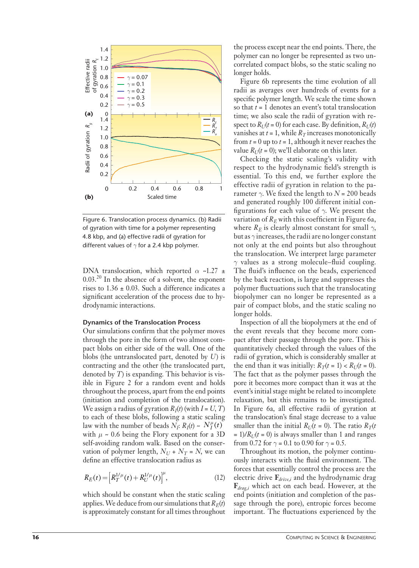

Figure 6. Translocation process dynamics. (b) Radii of gyration with time for a polymer representing 4.8 kbp, and (a) effective radii of gyration for different values of *γ* for a 2.4 kbp polymer.

DNA translocation, which reported  $\alpha \sim 1.27$   $\pm$  $0.03<sup>20</sup>$  In the absence of a solvent, the exponent rises to  $1.36 \pm 0.03$ . Such a difference indicates a significant acceleration of the process due to hydrodynamic interactions.

#### **Dynamics of the Translocation Process**

Our simulations confirm that the polymer moves through the pore in the form of two almost compact blobs on either side of the wall. One of the blobs (the untranslocated part, denoted by *U*) is contracting and the other (the translocated part, denoted by *T*) is expanding. This behavior is visible in Figure 2 for a random event and holds throughout the process, apart from the end points (initiation and completion of the translocation). We assign a radius of gyration  $R_I(t)$  (with  $I = U, T$ ) to each of these blobs, following a static scaling law with the number of beads  $N_I$ :  $R_I(t) \sim N_I^{\mu}(t)$ with  $\mu \sim 0.6$  being the Flory exponent for a 3D self-avoiding random walk. Based on the conservation of polymer length,  $N_U + N_T = N$ , we can define an effective translocation radius as

$$
R_E(t) = \left[ R_T^{1/\mu}(t) + R_U^{1/\mu}(t) \right]^\mu, \tag{12}
$$

which should be constant when the static scaling applies. We deduce from our simulations that  $R_E(t)$ is approximately constant for all times throughout

the process except near the end points. There, the polymer can no longer be represented as two uncorrelated compact blobs, so the static scaling no longer holds.

Figure 6b represents the time evolution of all radii as averages over hundreds of events for a specific polymer length. We scale the time shown so that *t* = 1 denotes an event's total translocation time; we also scale the radii of gyration with respect to  $R_U(t = 0)$  for each case. By definition,  $R_U(t)$ vanishes at  $t = 1$ , while  $R_T$  increases monotonically from  $t = 0$  up to  $t = 1$ , although it never reaches the value  $R_U(t = 0)$ ; we'll elaborate on this later.

Checking the static scaling's validity with respect to the hydrodynamic field's strength is essential. To this end, we further explore the effective radii of gyration in relation to the parameter *γ*. We fixed the length to  $N = 200$  beads and generated roughly 100 different initial configurations for each value of *γ*. We present the variation of  $R_E$  with this coefficient in Figure 6a, where  $R_E$  is clearly almost constant for small  $\gamma$ , but as *γ* increases, the radii are no longer constant not only at the end points but also throughout the translocation. We interpret large parameter *γ* values as a strong molecule–fluid coupling. The fluid's influence on the beads, experienced by the back reaction, is large and suppresses the polymer fluctuations such that the translocating biopolymer can no longer be represented as a pair of compact blobs, and the static scaling no longer holds.

Inspection of all the biopolymers at the end of the event reveals that they become more compact after their passage through the pore. This is quantitatively checked through the values of the radii of gyration, which is considerably smaller at the end than it was initially:  $R_T(t = 1) < R_U(t = 0)$ . The fact that as the polymer passes through the pore it becomes more compact than it was at the event's initial stage might be related to incomplete relaxation, but this remains to be investigated. In Figure 6a, all effective radii of gyration at the translocation's final stage decrease to a value smaller than the initial  $R_U(t = 0)$ . The ratio  $R_T(t)$  $= 1/R_U(t = 0)$  is always smaller than 1 and ranges from 0.72 for  $\gamma = 0.1$  to 0.90 for  $\gamma = 0.5$ .

Throughout its motion, the polymer continuously interacts with the fluid environment. The forces that essentially control the process are the electric drive **F***drive*,*<sup>i</sup>* and the hydrodynamic drag **F***drag*,*<sup>i</sup>* which act on each bead. However, at the end points (initiation and completion of the passage through the pore), entropic forces become important. The fluctuations experienced by the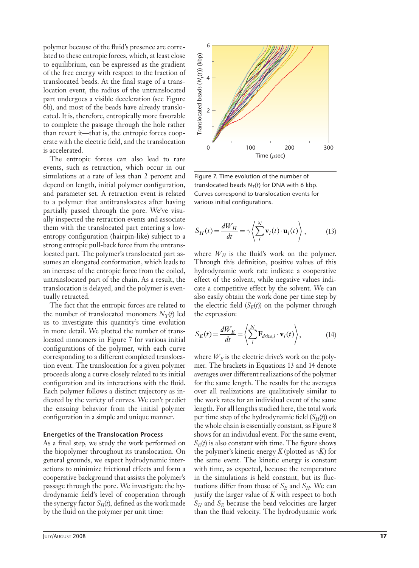polymer because of the fluid's presence are correlated to these entropic forces, which, at least close to equilibrium, can be expressed as the gradient of the free energy with respect to the fraction of translocated beads. At the final stage of a translocation event, the radius of the untranslocated part undergoes a visible deceleration (see Figure 6b), and most of the beads have already translocated. It is, therefore, entropically more favorable to complete the passage through the hole rather than revert it—that is, the entropic forces cooperate with the electric field, and the translocation is accelerated.

The entropic forces can also lead to rare events, such as retraction, which occur in our simulations at a rate of less than 2 percent and depend on length, initial polymer configuration, and parameter set. A retraction event is related to a polymer that antitranslocates after having partially passed through the pore. We've visually inspected the retraction events and associate them with the translocated part entering a lowentropy configuration (hairpin-like) subject to a strong entropic pull-back force from the untranslocated part. The polymer's translocated part assumes an elongated conformation, which leads to an increase of the entropic force from the coiled, untranslocated part of the chain. As a result, the translocation is delayed, and the polymer is eventually retracted.

The fact that the entropic forces are related to the number of translocated monomers  $N_T(t)$  led us to investigate this quantity's time evolution in more detail. We plotted the number of translocated monomers in Figure 7 for various initial configurations of the polymer, with each curve corresponding to a different completed translocation event. The translocation for a given polymer proceeds along a curve closely related to its initial configuration and its interactions with the fluid. Each polymer follows a distinct trajectory as indicated by the variety of curves. We can't predict the ensuing behavior from the initial polymer configuration in a simple and unique manner.

#### **Energetics of the Translocation Process**

As a final step, we study the work performed on the biopolymer throughout its translocation. On general grounds, we expect hydrodynamic interactions to minimize frictional effects and form a cooperative background that assists the polymer's passage through the pore. We investigate the hydrodynamic field's level of cooperation through the synergy factor  $S_H(t)$ , defined as the work made by the fluid on the polymer per unit time:



Figure 7. Time evolution of the number of translocated beads  $N_T(t)$  for DNA with 6 kbp. Curves correspond to translocation events for various initial configurations.

$$
S_H(t) = \frac{dW_H}{dt} = \gamma \left\langle \sum_i^N \mathbf{v}_i(t) \cdot \mathbf{u}_i(t) \right\rangle, \tag{13}
$$

where  $W_H$  is the fluid's work on the polymer. Through this definition, positive values of this hydrodynamic work rate indicate a cooperative effect of the solvent, while negative values indicate a competitive effect by the solvent. We can also easily obtain the work done per time step by the electric field  $(S_E(t))$  on the polymer through the expression:

$$
S_E(t) = \frac{dW_E}{dt} = \left\langle \sum_i^N \mathbf{F}_{drive,i} \cdot \mathbf{v}_i(t) \right\rangle, \tag{14}
$$

where  $W<sub>E</sub>$  is the electric drive's work on the polymer. The brackets in Equations 13 and 14 denote averages over different realizations of the polymer for the same length. The results for the averages over all realizations are qualitatively similar to the work rates for an individual event of the same length. For all lengths studied here, the total work per time step of the hydrodynamic field  $(S_H(t))$  on the whole chain is essentially constant, as Figure 8 shows for an individual event. For the same event,  $S_F(t)$  is also constant with time. The figure shows the polymer's kinetic energy *K* (plotted as *γK*) for the same event. The kinetic energy is constant with time, as expected, because the temperature in the simulations is held constant, but its fluctuations differ from those of  $S_E$  and  $S_H$ . We can justify the larger value of *K* with respect to both *SH* and *SE* because the bead velocities are larger than the fluid velocity. The hydrodynamic work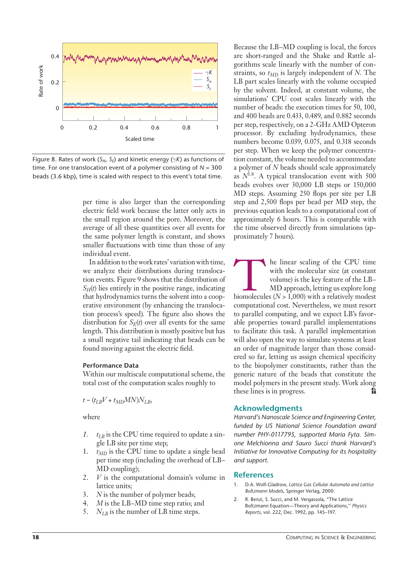

Figure 8. Rates of work (*SH*, *SE*) and kinetic energy (*γK*) as functions of time. For one translocation event of a polymer consisting of *N* = 300 beads (3.6 kbp), time is scaled with respect to this event's total time.

per time is also larger than the corresponding electric field work because the latter only acts in the small region around the pore. Moreover, the average of all these quantities over all events for the same polymer length is constant, and shows smaller fluctuations with time than those of any individual event.

In addition to the work rates' variation with time, we analyze their distributions during translocation events. Figure 9 shows that the distribution of  $S_H(t)$  lies entirely in the positive range, indicating that hydrodynamics turns the solvent into a cooperative environment (by enhancing the translocation process's speed). The figure also shows the distribution for  $S_E(t)$  over all events for the same length. This distribution is mostly positive but has a small negative tail indicating that beads can be found moving against the electric field.

#### **Performance Data**

Within our multiscale computational scheme, the total cost of the computation scales roughly to

 $t \sim (t_{LB}V + t_{MD}MN)N_{LB}$ 

where

- *tLB* is the CPU time required to update a sin-*1.* gle LB site per time step;
- $t_{MD}$  is the CPU time to update a single bead per time step (including the overhead of LB– MD coupling); 1.
- *V* is the computational domain's volume in lattice units; 2.
- *N* is the number of polymer beads; 3.
- *M* is the LB–MD time step ratio; and 4.
- *N<sub>LB</sub>* is the number of LB time steps. 5.

Because the LB–MD coupling is local, the forces are short-ranged and the Shake and Rattle algorithms scale linearly with the number of constraints, so  $t_{MD}$  is largely independent of *N*. The LB part scales linearly with the volume occupied by the solvent. Indeed, at constant volume, the simulations' CPU cost scales linearly with the number of beads: the execution times for 50, 100, and 400 beads are 0.433, 0.489, and 0.882 seconds per step, respectively, on a 2-GHz AMD Opteron processor. By excluding hydrodynamics, these numbers become 0.039, 0.075, and 0.318 seconds per step. When we keep the polymer concentration constant, the volume needed to accommodate a polymer of *N* beads should scale approximately as  $N^{1.8}$ . A typical translocation event with 500 beads evolves over 30,000 LB steps or 150,000 MD steps. Assuming 250 flops per site per LB step and 2,500 flops per bead per MD step, the previous equation leads to a computational cost of approximately 6 hours. This is comparable with the time observed directly from simulations (approximately 7 hours).

The linear scaling of the CPU time<br>
with the molecular size (at constant<br>
volume) is the key feature of the LB-<br>
MD approach, letting us explore long<br>
biomolecules (*N* > 1,000) with a relatively modest with the molecular size (at constant volume) is the key feature of the LB– MD approach, letting us explore long computational cost. Nevertheless, we must resort to parallel computing, and we expect LB's favorable properties toward parallel implementations to facilitate this task. A parallel implementation will also open the way to simulate systems at least an order of magnitude larger than those considered so far, letting us assign chemical specificity to the biopolymer constituents, rather than the generic nature of the beads that constitute the model polymers in the present study. Work along SF. these lines is in progress.

## **Acknowledgments**

*Harvard's Nanoscale Science and Engineering Center, funded by US National Science Foundation award number PHY-0117795, supported Maria Fyta. Simone Melchionna and Sauro Succi thank Harvard's Initiative for Innovative Computing for its hospitality and support.*

#### **References**

- D.A. Wolf-Gladrow, *Lattice Gas Cellular Automata and Lattice Boltzmann Models*, Springer Verlag, 2000. 1.
- R. Benzi, S. Succi, and M. Vergassola, "The Lattice Boltzmann Equation—Theory and Applications,'' *Physics Reports*, vol. 222, Dec. 1992, pp. 145–197. 2.